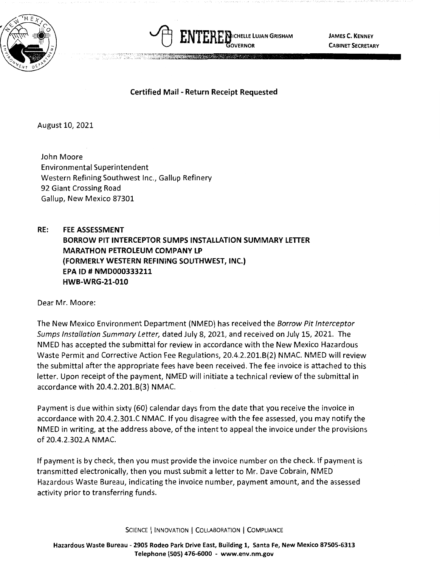



**JAMES C. KENNEY CABINET SECRETARY** 

## **Certified Mail** - **Return Receipt Requested**

August 10, 2021

John Moore Environmental Superintendent Western Refining Southwest Inc., Gallup Refinery 92 Giant Crossing Road Gallup, New Mexico 87301

**RE: FEE ASSESSMENT BORROW PIT INTERCEPTOR SUMPS INSTALLATION SUMMARY LETTER MARATHON PETROLEUM COMPANY LP (FORMERLY WESTERN REFINING SOUTHWEST, INC.) EPA ID# NMD000333211 HWB-WRG-21-010** 

Dear Mr. Moore:

The New Mexico Environment Department (NMED) has received the Borrow Pit Interceptor Sumps Installation Summary Letter, dated July 8, 2021, and received on July 15, 2021. The NMED has accepted the submittal for review in accordance with the New Mexico Hazardous Waste Permit and Corrective Action Fee Regulations, 20.4.2.201.8(2) NMAC. NMED will review the submittal after the appropriate fees have been received. The fee invoice is attached to this letter. Upon receipt of the payment, NMED will initiate a technical review of the submittal in accordance with 20.4.2.201.8(3) NMAC.

Payment is due within sixty (60) calendar days from the date that you receive the invoice in accordance with 20.4.2.301.C NMAC. If you disagree with the fee assessed, you may notify the NMED in writing, at the address above, of the intent to appeal the invoice under the provisions of 20.4.2.302.A NMAC.

If payment is by check, then you must provide the invoice number on the check. If payment is transmitted electronically, then you must submit a letter to Mr. Dave Cobrain, NMED Hazardous Waste Bureau, indicating the invoice number, payment amount, and the assessed activity prior to transferring funds.

SCIENCE | INNOVATION | COLLABORATION | COMPLIANCE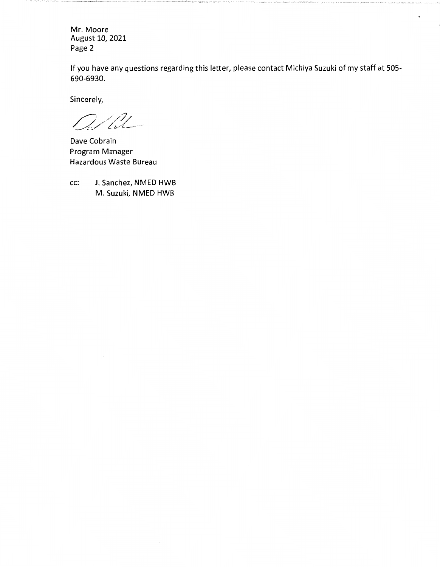Mr. Moore August 10, 2021 Page 2

If you have any questions regarding this letter, please contact Michiya Suzuki of my staff at 505- 690-6930.

Sincerely,

 $t2$ 

Dave Cobrain Program Manager Hazardous Waste Bureau

cc: J. Sanchez, NMED HWB M. Suzuki, NMED HWB